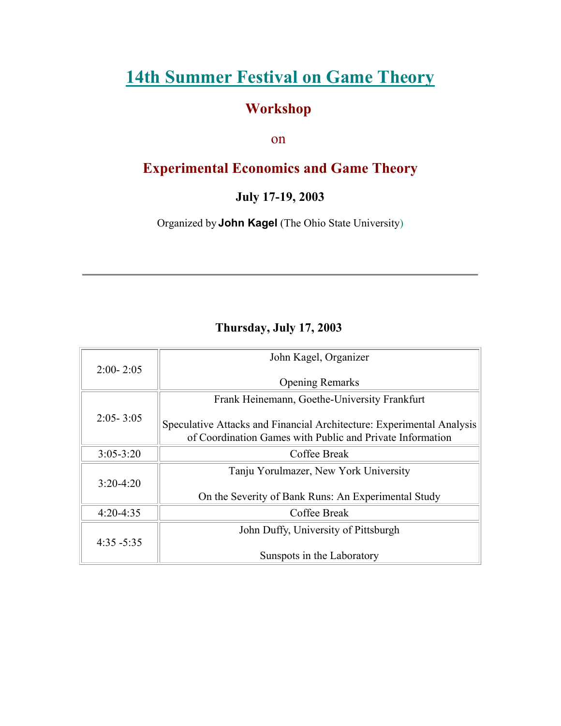# **[14th Summer Festival on Game Theory](http://www.sunysb.edu/gametheory/index.html)**

### **Workshop**

on

## **Experimental Economics and Game Theory**

**July 17-19, 2003**

Organized by **John Kagel** (The Ohio State University)

### **Thursday, July 17, 2003**

| John Kagel, Organizer                                                                                                              |
|------------------------------------------------------------------------------------------------------------------------------------|
| <b>Opening Remarks</b>                                                                                                             |
| Frank Heinemann, Goethe-University Frankfurt                                                                                       |
| Speculative Attacks and Financial Architecture: Experimental Analysis<br>of Coordination Games with Public and Private Information |
| Coffee Break                                                                                                                       |
| Tanju Yorulmazer, New York University                                                                                              |
| On the Severity of Bank Runs: An Experimental Study                                                                                |
| Coffee Break                                                                                                                       |
| John Duffy, University of Pittsburgh                                                                                               |
| Sunspots in the Laboratory                                                                                                         |
|                                                                                                                                    |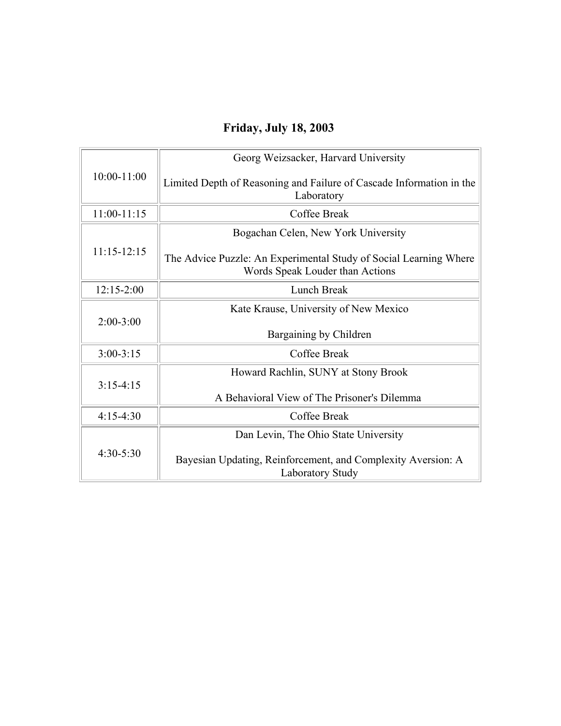## **Friday, July 18, 2003**

| $10:00 - 11:00$ | Georg Weizsacker, Harvard University                                                                 |
|-----------------|------------------------------------------------------------------------------------------------------|
|                 | Limited Depth of Reasoning and Failure of Cascade Information in the<br>Laboratory                   |
| $11:00-11:15$   | Coffee Break                                                                                         |
| $11:15 - 12:15$ | Bogachan Celen, New York University                                                                  |
|                 | The Advice Puzzle: An Experimental Study of Social Learning Where<br>Words Speak Louder than Actions |
| $12:15 - 2:00$  | Lunch Break                                                                                          |
| $2:00-3:00$     | Kate Krause, University of New Mexico                                                                |
|                 | Bargaining by Children                                                                               |
| $3:00-3:15$     | Coffee Break                                                                                         |
| $3:15-4:15$     | Howard Rachlin, SUNY at Stony Brook                                                                  |
|                 | A Behavioral View of The Prisoner's Dilemma                                                          |
| $4:15-4:30$     | Coffee Break                                                                                         |
| $4:30 - 5:30$   | Dan Levin, The Ohio State University                                                                 |
|                 | Bayesian Updating, Reinforcement, and Complexity Aversion: A<br><b>Laboratory Study</b>              |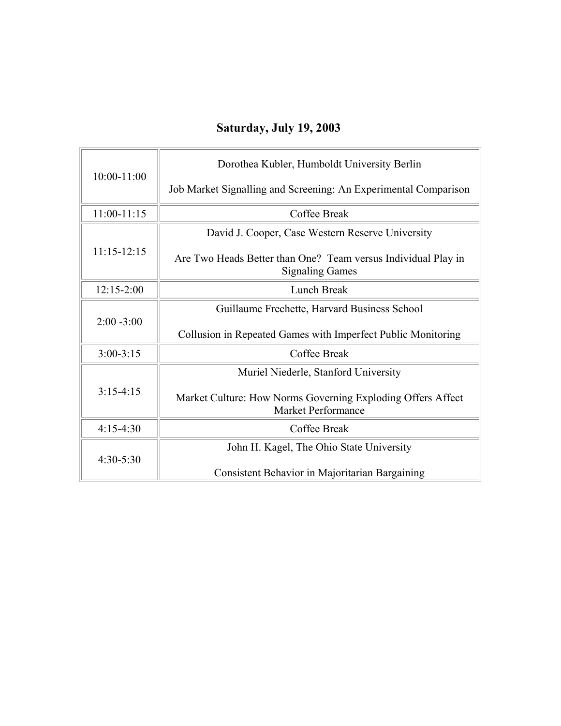# **Saturday, July 19, 2003**

| $10:00 - 11:00$ | Dorothea Kubler, Humboldt University Berlin                                             |
|-----------------|-----------------------------------------------------------------------------------------|
|                 | Job Market Signalling and Screening: An Experimental Comparison                         |
| $11:00-11:15$   | Coffee Break                                                                            |
| $11:15-12:15$   | David J. Cooper, Case Western Reserve University                                        |
|                 | Are Two Heads Better than One? Team versus Individual Play in<br><b>Signaling Games</b> |
| $12:15 - 2:00$  | Lunch Break                                                                             |
| $2:00 - 3:00$   | Guillaume Frechette, Harvard Business School                                            |
|                 | Collusion in Repeated Games with Imperfect Public Monitoring                            |
| $3:00-3:15$     | Coffee Break                                                                            |
| $3:15-4:15$     | Muriel Niederle, Stanford University                                                    |
|                 | Market Culture: How Norms Governing Exploding Offers Affect<br>Market Performance       |
| $4:15-4:30$     | Coffee Break                                                                            |
| $4:30-5:30$     | John H. Kagel, The Ohio State University                                                |
|                 | Consistent Behavior in Majoritarian Bargaining                                          |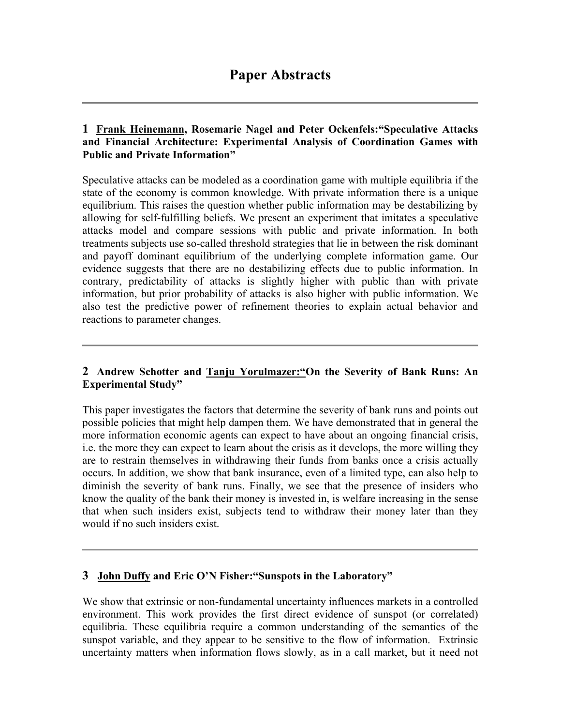### **Paper Abstracts**

#### **1 Frank Heinemann, Rosemarie Nagel and Peter Ockenfels:"Speculative Attacks and Financial Architecture: Experimental Analysis of Coordination Games with Public and Private Information"**

Speculative attacks can be modeled as a coordination game with multiple equilibria if the state of the economy is common knowledge. With private information there is a unique equilibrium. This raises the question whether public information may be destabilizing by allowing for self-fulfilling beliefs. We present an experiment that imitates a speculative attacks model and compare sessions with public and private information. In both treatments subjects use so-called threshold strategies that lie in between the risk dominant and payoff dominant equilibrium of the underlying complete information game. Our evidence suggests that there are no destabilizing effects due to public information. In contrary, predictability of attacks is slightly higher with public than with private information, but prior probability of attacks is also higher with public information. We also test the predictive power of refinement theories to explain actual behavior and reactions to parameter changes.

#### **2 Andrew Schotter and Tanju Yorulmazer:"On the Severity of Bank Runs: An Experimental Study"**

This paper investigates the factors that determine the severity of bank runs and points out possible policies that might help dampen them. We have demonstrated that in general the more information economic agents can expect to have about an ongoing financial crisis, i.e. the more they can expect to learn about the crisis as it develops, the more willing they are to restrain themselves in withdrawing their funds from banks once a crisis actually occurs. In addition, we show that bank insurance, even of a limited type, can also help to diminish the severity of bank runs. Finally, we see that the presence of insiders who know the quality of the bank their money is invested in, is welfare increasing in the sense that when such insiders exist, subjects tend to withdraw their money later than they would if no such insiders exist.

#### **3 John Duffy and Eric O'N Fisher:"Sunspots in the Laboratory"**

We show that extrinsic or non-fundamental uncertainty influences markets in a controlled environment. This work provides the first direct evidence of sunspot (or correlated) equilibria. These equilibria require a common understanding of the semantics of the sunspot variable, and they appear to be sensitive to the flow of information. Extrinsic uncertainty matters when information flows slowly, as in a call market, but it need not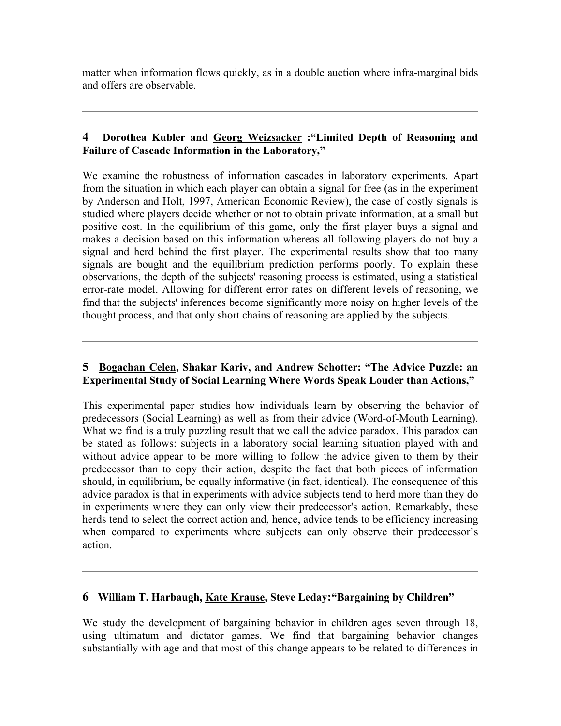matter when information flows quickly, as in a double auction where infra-marginal bids and offers are observable.

#### **4 Dorothea Kubler and Georg Weizsacker :"Limited Depth of Reasoning and Failure of Cascade Information in the Laboratory,"**

We examine the robustness of information cascades in laboratory experiments. Apart from the situation in which each player can obtain a signal for free (as in the experiment by Anderson and Holt, 1997, American Economic Review), the case of costly signals is studied where players decide whether or not to obtain private information, at a small but positive cost. In the equilibrium of this game, only the first player buys a signal and makes a decision based on this information whereas all following players do not buy a signal and herd behind the first player. The experimental results show that too many signals are bought and the equilibrium prediction performs poorly. To explain these observations, the depth of the subjects' reasoning process is estimated, using a statistical error-rate model. Allowing for different error rates on different levels of reasoning, we find that the subjects' inferences become significantly more noisy on higher levels of the thought process, and that only short chains of reasoning are applied by the subjects.

#### **5 Bogachan Celen, Shakar Kariv, and Andrew Schotter: "The Advice Puzzle: an Experimental Study of Social Learning Where Words Speak Louder than Actions,"**

This experimental paper studies how individuals learn by observing the behavior of predecessors (Social Learning) as well as from their advice (Word-of-Mouth Learning). What we find is a truly puzzling result that we call the advice paradox. This paradox can be stated as follows: subjects in a laboratory social learning situation played with and without advice appear to be more willing to follow the advice given to them by their predecessor than to copy their action, despite the fact that both pieces of information should, in equilibrium, be equally informative (in fact, identical). The consequence of this advice paradox is that in experiments with advice subjects tend to herd more than they do in experiments where they can only view their predecessor's action. Remarkably, these herds tend to select the correct action and, hence, advice tends to be efficiency increasing when compared to experiments where subjects can only observe their predecessor's action.

#### **6 William T. Harbaugh, Kate Krause, Steve Leday:"Bargaining by Children"**

We study the development of bargaining behavior in children ages seven through 18, using ultimatum and dictator games. We find that bargaining behavior changes substantially with age and that most of this change appears to be related to differences in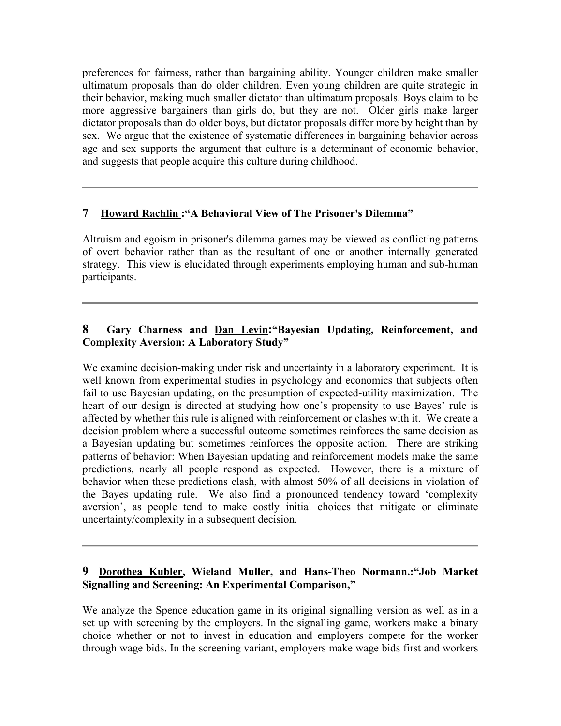preferences for fairness, rather than bargaining ability. Younger children make smaller ultimatum proposals than do older children. Even young children are quite strategic in their behavior, making much smaller dictator than ultimatum proposals. Boys claim to be more aggressive bargainers than girls do, but they are not. Older girls make larger dictator proposals than do older boys, but dictator proposals differ more by height than by sex. We argue that the existence of systematic differences in bargaining behavior across age and sex supports the argument that culture is a determinant of economic behavior, and suggests that people acquire this culture during childhood.

#### **7 Howard Rachlin :"A Behavioral View of The Prisoner's Dilemma"**

Altruism and egoism in prisoner's dilemma games may be viewed as conflicting patterns of overt behavior rather than as the resultant of one or another internally generated strategy. This view is elucidated through experiments employing human and sub-human participants.

#### **8 Gary Charness and Dan Levin:"Bayesian Updating, Reinforcement, and Complexity Aversion: A Laboratory Study"**

We examine decision-making under risk and uncertainty in a laboratory experiment. It is well known from experimental studies in psychology and economics that subjects often fail to use Bayesian updating, on the presumption of expected-utility maximization. The heart of our design is directed at studying how one's propensity to use Bayes' rule is affected by whether this rule is aligned with reinforcement or clashes with it. We create a decision problem where a successful outcome sometimes reinforces the same decision as a Bayesian updating but sometimes reinforces the opposite action. There are striking patterns of behavior: When Bayesian updating and reinforcement models make the same predictions, nearly all people respond as expected. However, there is a mixture of behavior when these predictions clash, with almost 50% of all decisions in violation of the Bayes updating rule. We also find a pronounced tendency toward 'complexity aversion', as people tend to make costly initial choices that mitigate or eliminate uncertainty/complexity in a subsequent decision.

#### **9 Dorothea Kubler, Wieland Muller, and Hans-Theo Normann.:"Job Market Signalling and Screening: An Experimental Comparison,"**

We analyze the Spence education game in its original signalling version as well as in a set up with screening by the employers. In the signalling game, workers make a binary choice whether or not to invest in education and employers compete for the worker through wage bids. In the screening variant, employers make wage bids first and workers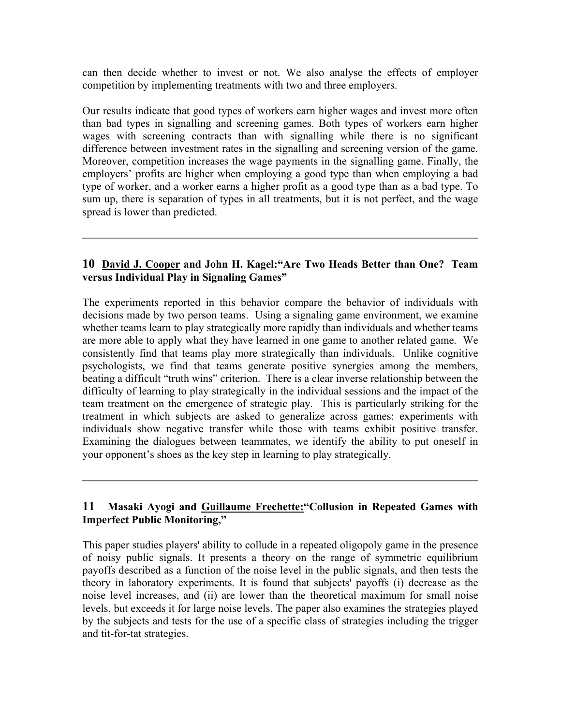can then decide whether to invest or not. We also analyse the effects of employer competition by implementing treatments with two and three employers.

Our results indicate that good types of workers earn higher wages and invest more often than bad types in signalling and screening games. Both types of workers earn higher wages with screening contracts than with signalling while there is no significant difference between investment rates in the signalling and screening version of the game. Moreover, competition increases the wage payments in the signalling game. Finally, the employers' profits are higher when employing a good type than when employing a bad type of worker, and a worker earns a higher profit as a good type than as a bad type. To sum up, there is separation of types in all treatments, but it is not perfect, and the wage spread is lower than predicted.

#### **10 David J. Cooper and John H. Kagel:"Are Two Heads Better than One? Team versus Individual Play in Signaling Games"**

The experiments reported in this behavior compare the behavior of individuals with decisions made by two person teams. Using a signaling game environment, we examine whether teams learn to play strategically more rapidly than individuals and whether teams are more able to apply what they have learned in one game to another related game. We consistently find that teams play more strategically than individuals. Unlike cognitive psychologists, we find that teams generate positive synergies among the members, beating a difficult "truth wins" criterion. There is a clear inverse relationship between the difficulty of learning to play strategically in the individual sessions and the impact of the team treatment on the emergence of strategic play. This is particularly striking for the treatment in which subjects are asked to generalize across games: experiments with individuals show negative transfer while those with teams exhibit positive transfer. Examining the dialogues between teammates, we identify the ability to put oneself in your opponent's shoes as the key step in learning to play strategically.

#### **11 Masaki Ayogi and Guillaume Frechette:"Collusion in Repeated Games with Imperfect Public Monitoring,"**

This paper studies players' ability to collude in a repeated oligopoly game in the presence of noisy public signals. It presents a theory on the range of symmetric equilibrium payoffs described as a function of the noise level in the public signals, and then tests the theory in laboratory experiments. It is found that subjects' payoffs (i) decrease as the noise level increases, and (ii) are lower than the theoretical maximum for small noise levels, but exceeds it for large noise levels. The paper also examines the strategies played by the subjects and tests for the use of a specific class of strategies including the trigger and tit-for-tat strategies.